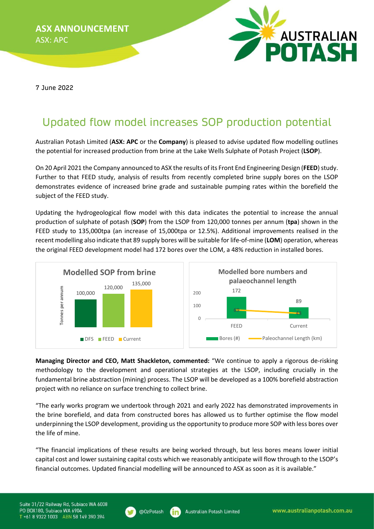ASX ANNOUNCEMENT ASX: APC



7 June 2022

# Updated flow model increases SOP production potential

Australian Potash Limited (ASX: APC or the Company) is pleased to advise updated flow modelling outlines the potential for increased production from brine at the Lake Wells Sulphate of Potash Project (LSOP).

On 20 April 2021 the Company announced to ASX the results of its Front End Engineering Design (FEED) study. Further to that FEED study, analysis of results from recently completed brine supply bores on the LSOP demonstrates evidence of increased brine grade and sustainable pumping rates within the borefield the subject of the FEED study.

Updating the hydrogeological flow model with this data indicates the potential to increase the annual production of sulphate of potash (SOP) from the LSOP from 120,000 tonnes per annum (tpa) shown in the FEED study to 135,000tpa (an increase of 15,000tpa or 12.5%). Additional improvements realised in the recent modelling also indicate that 89 supply bores will be suitable for life-of-mine (LOM) operation, whereas the original FEED development model had 172 bores over the LOM, a 48% reduction in installed bores.



Managing Director and CEO, Matt Shackleton, commented: "We continue to apply a rigorous de-risking methodology to the development and operational strategies at the LSOP, including crucially in the fundamental brine abstraction (mining) process. The LSOP will be developed as a 100% borefield abstraction project with no reliance on surface trenching to collect brine.

"The early works program we undertook through 2021 and early 2022 has demonstrated improvements in the brine borefield, and data from constructed bores has allowed us to further optimise the flow model underpinning the LSOP development, providing us the opportunity to produce more SOP with less bores over the life of mine.

"The financial implications of these results are being worked through, but less bores means lower initial capital cost and lower sustaining capital costs which we reasonably anticipate will flow through to the LSOP's financial outcomes. Updated financial modelling will be announced to ASX as soon as it is available."

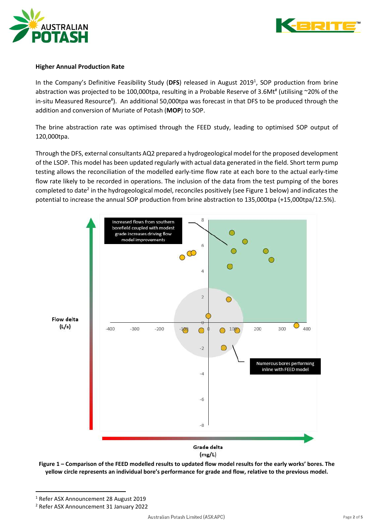



# Higher Annual Production Rate

In the Company's Definitive Feasibility Study (DFS) released in August 2019<sup>1</sup>, SOP production from brine abstraction was projected to be 100,000tpa, resulting in a Probable Reserve of 3.6Mt<sup>#</sup> (utilising ~20% of the in-situ Measured Resource<sup>#</sup>). An additional 50,000tpa was forecast in that DFS to be produced through the addition and conversion of Muriate of Potash (MOP) to SOP.

The brine abstraction rate was optimised through the FEED study, leading to optimised SOP output of 120,000tpa.

Through the DFS, external consultants AQ2 prepared a hydrogeological model for the proposed development of the LSOP. This model has been updated regularly with actual data generated in the field. Short term pump testing allows the reconciliation of the modelled early-time flow rate at each bore to the actual early-time flow rate likely to be recorded in operations. The inclusion of the data from the test pumping of the bores completed to date<sup>2</sup> in the hydrogeological model, reconciles positively (see Figure 1 below) and indicates the potential to increase the annual SOP production from brine abstraction to 135,000tpa (+15,000tpa/12.5%).



Figure 1 – Comparison of the FEED modelled results to updated flow model results for the early works' bores. The yellow circle represents an individual bore's performance for grade and flow, relative to the previous model.

<sup>1</sup> Refer ASX Announcement 28 August 2019

<sup>2</sup> Refer ASX Announcement 31 January 2022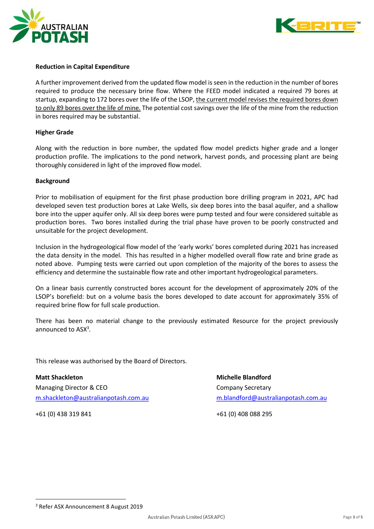



# Reduction in Capital Expenditure

A further improvement derived from the updated flow model is seen in the reduction in the number of bores required to produce the necessary brine flow. Where the FEED model indicated a required 79 bores at startup, expanding to 172 bores over the life of the LSOP, the current model revises the required bores down to only 89 bores over the life of mine. The potential cost savings over the life of the mine from the reduction in bores required may be substantial.

## Higher Grade

Along with the reduction in bore number, the updated flow model predicts higher grade and a longer production profile. The implications to the pond network, harvest ponds, and processing plant are being thoroughly considered in light of the improved flow model.

## **Background**

Prior to mobilisation of equipment for the first phase production bore drilling program in 2021, APC had developed seven test production bores at Lake Wells, six deep bores into the basal aquifer, and a shallow bore into the upper aquifer only. All six deep bores were pump tested and four were considered suitable as production bores. Two bores installed during the trial phase have proven to be poorly constructed and unsuitable for the project development.

Inclusion in the hydrogeological flow model of the 'early works' bores completed during 2021 has increased the data density in the model. This has resulted in a higher modelled overall flow rate and brine grade as noted above. Pumping tests were carried out upon completion of the majority of the bores to assess the efficiency and determine the sustainable flow rate and other important hydrogeological parameters.

On a linear basis currently constructed bores account for the development of approximately 20% of the LSOP's borefield: but on a volume basis the bores developed to date account for approximately 35% of required brine flow for full scale production.

There has been no material change to the previously estimated Resource for the project previously announced to ASX<sup>3</sup>.

This release was authorised by the Board of Directors.

Matt Shackleton Michelle Blandford Managing Director & CEO Company Secretary m.shackleton@australianpotash.com.au m.blandford@australianpotash.com.au

+61 (0) 438 319 841 +61 (0) 408 088 295

<sup>3</sup> Refer ASX Announcement 8 August 2019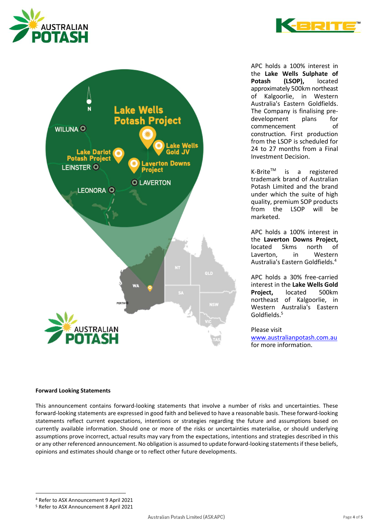



APC holds a 100% interest in the Lake Wells Sulphate of Potash (LSOP), located approximately 500km northeast of Kalgoorlie, in Western Australia's Eastern Goldfields. The Company is finalising predevelopment plans for commencement of construction. First production from the LSOP is scheduled for 24 to 27 months from a Final Investment Decision.

K-Brite<sup>™</sup> is a registered trademark brand of Australian Potash Limited and the brand under which the suite of high quality, premium SOP products from the LSOP will be marketed.

APC holds a 100% interest in the Laverton Downs Project, located 5kms north of Laverton, in Western Australia's Eastern Goldfields.<sup>4</sup>

APC holds a 30% free-carried interest in the Lake Wells Gold Project, located 500km northeast of Kalgoorlie, in Western Australia's Eastern Goldfields.<sup>5</sup>

Please visit

www.australianpotash.com.au for more information.

# Forward Looking Statements

This announcement contains forward-looking statements that involve a number of risks and uncertainties. These forward-looking statements are expressed in good faith and believed to have a reasonable basis. These forward-looking statements reflect current expectations, intentions or strategies regarding the future and assumptions based on currently available information. Should one or more of the risks or uncertainties materialise, or should underlying assumptions prove incorrect, actual results may vary from the expectations, intentions and strategies described in this or any other referenced announcement. No obligation is assumed to update forward-looking statements if these beliefs, opinions and estimates should change or to reflect other future developments.

<sup>4</sup> Refer to ASX Announcement 9 April 2021

<sup>5</sup> Refer to ASX Announcement 8 April 2021